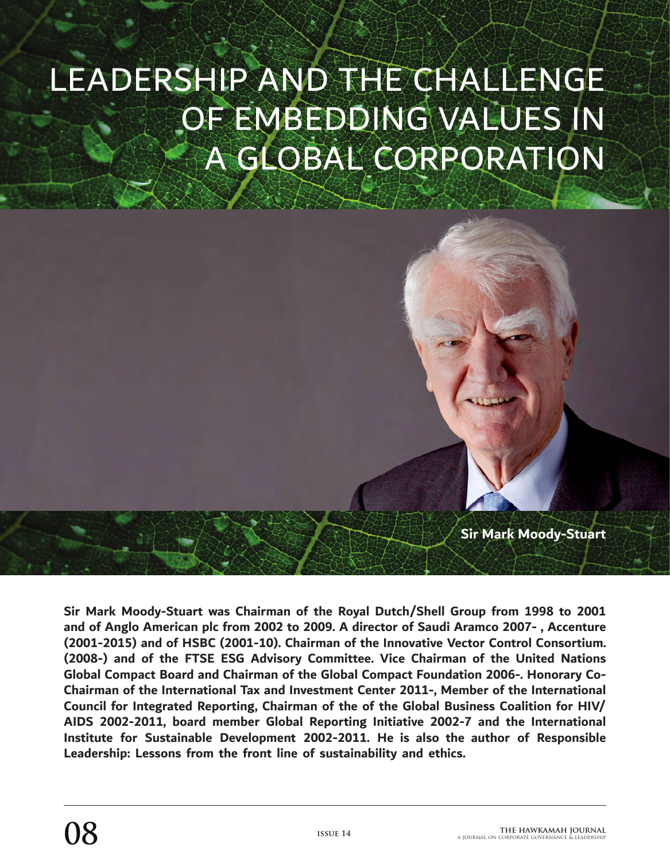## LEADERSHIP AND THE CHALLENGE OF EMBEDDING VALUES IN A GLOBAL CORPORATION

**Sir Mark Moody-Stuart**

**Sir Mark Moody-Stuart was Chairman of the Royal Dutch/Shell Group from 1998 to 2001 and of Anglo American plc from 2002 to 2009. A director of Saudi Aramco 2007- , Accenture (2001-2015) and of HSBC (2001-10). Chairman of the Innovative Vector Control Consortium. (2008-) and of the FTSE ESG Advisory Committee. Vice Chairman of the United Nations Global Compact Board and Chairman of the Global Compact Foundation 2006-. Honorary Co-Chairman of the International Tax and Investment Center 2011-, Member of the International Council for Integrated Reporting, Chairman of the of the Global Business Coalition for HIV/ AIDS 2002-2011, board member Global Reporting Initiative 2002-7 and the International Institute for Sustainable Development 2002-2011. He is also the author of Responsible Leadership: Lessons from the front line of sustainability and ethics.**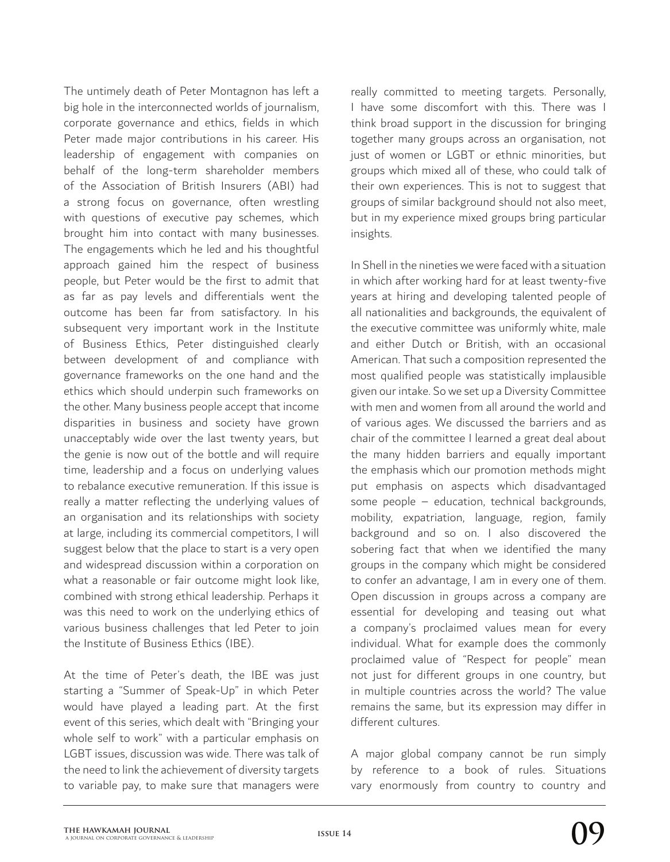The untimely death of Peter Montagnon has left a big hole in the interconnected worlds of journalism, corporate governance and ethics, fields in which Peter made major contributions in his career. His leadership of engagement with companies on behalf of the long-term shareholder members of the Association of British Insurers (ABI) had a strong focus on governance, often wrestling with questions of executive pay schemes, which brought him into contact with many businesses. The engagements which he led and his thoughtful approach gained him the respect of business people, but Peter would be the first to admit that as far as pay levels and differentials went the outcome has been far from satisfactory. In his subsequent very important work in the Institute of Business Ethics, Peter distinguished clearly between development of and compliance with governance frameworks on the one hand and the ethics which should underpin such frameworks on the other. Many business people accept that income disparities in business and society have grown unacceptably wide over the last twenty years, but the genie is now out of the bottle and will require time, leadership and a focus on underlying values to rebalance executive remuneration. If this issue is really a matter reflecting the underlying values of an organisation and its relationships with society at large, including its commercial competitors, I will suggest below that the place to start is a very open and widespread discussion within a corporation on what a reasonable or fair outcome might look like, combined with strong ethical leadership. Perhaps it was this need to work on the underlying ethics of various business challenges that led Peter to join the Institute of Business Ethics (IBE).

At the time of Peter's death, the IBE was just starting a "Summer of Speak-Up" in which Peter would have played a leading part. At the first event of this series, which dealt with "Bringing your whole self to work" with a particular emphasis on LGBT issues, discussion was wide. There was talk of the need to link the achievement of diversity targets to variable pay, to make sure that managers were really committed to meeting targets. Personally, I have some discomfort with this. There was I think broad support in the discussion for bringing together many groups across an organisation, not just of women or LGBT or ethnic minorities, but groups which mixed all of these, who could talk of their own experiences. This is not to suggest that groups of similar background should not also meet, but in my experience mixed groups bring particular insights.

In Shell in the nineties we were faced with a situation in which after working hard for at least twenty-five years at hiring and developing talented people of all nationalities and backgrounds, the equivalent of the executive committee was uniformly white, male and either Dutch or British, with an occasional American. That such a composition represented the most qualified people was statistically implausible given our intake. So we set up a Diversity Committee with men and women from all around the world and of various ages. We discussed the barriers and as chair of the committee I learned a great deal about the many hidden barriers and equally important the emphasis which our promotion methods might put emphasis on aspects which disadvantaged some people – education, technical backgrounds, mobility, expatriation, language, region, family background and so on. I also discovered the sobering fact that when we identified the many groups in the company which might be considered to confer an advantage, I am in every one of them. Open discussion in groups across a company are essential for developing and teasing out what a company's proclaimed values mean for every individual. What for example does the commonly proclaimed value of "Respect for people" mean not just for different groups in one country, but in multiple countries across the world? The value remains the same, but its expression may differ in different cultures.

A major global company cannot be run simply by reference to a book of rules. Situations vary enormously from country to country and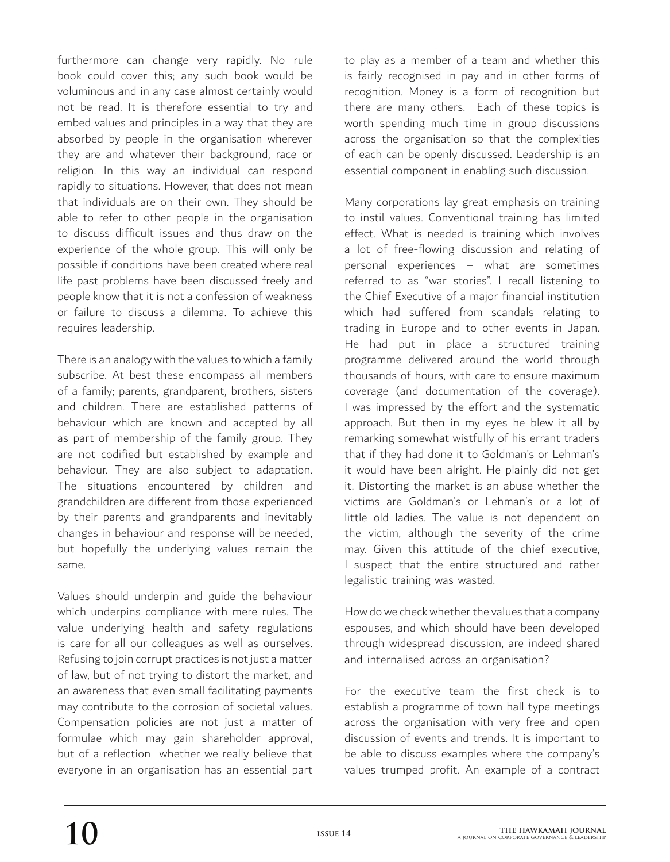furthermore can change very rapidly. No rule book could cover this; any such book would be voluminous and in any case almost certainly would not be read. It is therefore essential to try and embed values and principles in a way that they are absorbed by people in the organisation wherever they are and whatever their background, race or religion. In this way an individual can respond rapidly to situations. However, that does not mean that individuals are on their own. They should be able to refer to other people in the organisation to discuss difficult issues and thus draw on the experience of the whole group. This will only be possible if conditions have been created where real life past problems have been discussed freely and people know that it is not a confession of weakness or failure to discuss a dilemma. To achieve this requires leadership.

There is an analogy with the values to which a family subscribe. At best these encompass all members of a family; parents, grandparent, brothers, sisters and children. There are established patterns of behaviour which are known and accepted by all as part of membership of the family group. They are not codified but established by example and behaviour. They are also subject to adaptation. The situations encountered by children and grandchildren are different from those experienced by their parents and grandparents and inevitably changes in behaviour and response will be needed, but hopefully the underlying values remain the same.

Values should underpin and guide the behaviour which underpins compliance with mere rules. The value underlying health and safety regulations is care for all our colleagues as well as ourselves. Refusing to join corrupt practices is not just a matter of law, but of not trying to distort the market, and an awareness that even small facilitating payments may contribute to the corrosion of societal values. Compensation policies are not just a matter of formulae which may gain shareholder approval, but of a reflection whether we really believe that everyone in an organisation has an essential part

to play as a member of a team and whether this is fairly recognised in pay and in other forms of recognition. Money is a form of recognition but there are many others. Each of these topics is worth spending much time in group discussions across the organisation so that the complexities of each can be openly discussed. Leadership is an essential component in enabling such discussion.

Many corporations lay great emphasis on training to instil values. Conventional training has limited effect. What is needed is training which involves a lot of free-flowing discussion and relating of personal experiences – what are sometimes referred to as "war stories". I recall listening to the Chief Executive of a major financial institution which had suffered from scandals relating to trading in Europe and to other events in Japan. He had put in place a structured training programme delivered around the world through thousands of hours, with care to ensure maximum coverage (and documentation of the coverage). I was impressed by the effort and the systematic approach. But then in my eyes he blew it all by remarking somewhat wistfully of his errant traders that if they had done it to Goldman's or Lehman's it would have been alright. He plainly did not get it. Distorting the market is an abuse whether the victims are Goldman's or Lehman's or a lot of little old ladies. The value is not dependent on the victim, although the severity of the crime may. Given this attitude of the chief executive, I suspect that the entire structured and rather legalistic training was wasted.

How do we check whether the values that a company espouses, and which should have been developed through widespread discussion, are indeed shared and internalised across an organisation?

For the executive team the first check is to establish a programme of town hall type meetings across the organisation with very free and open discussion of events and trends. It is important to be able to discuss examples where the company's values trumped profit. An example of a contract